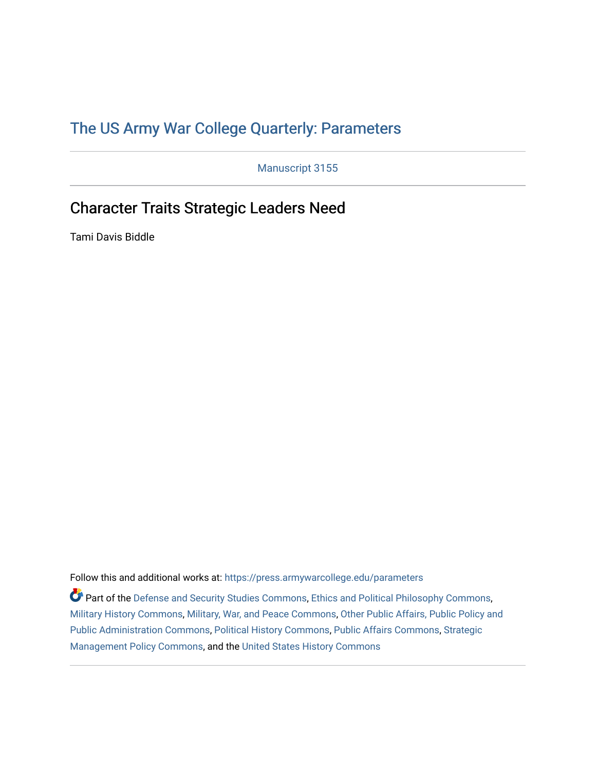## [The US Army War College Quarterly: Parameters](https://press.armywarcollege.edu/parameters)

Manuscript 3155

## Character Traits Strategic Leaders Need

Tami Davis Biddle

Follow this and additional works at: [https://press.armywarcollege.edu/parameters](https://press.armywarcollege.edu/parameters?utm_source=press.armywarcollege.edu%2Fparameters%2Fvol52%2Fiss2%2F14&utm_medium=PDF&utm_campaign=PDFCoverPages) 

Part of the [Defense and Security Studies Commons](https://network.bepress.com/hgg/discipline/394?utm_source=press.armywarcollege.edu%2Fparameters%2Fvol52%2Fiss2%2F14&utm_medium=PDF&utm_campaign=PDFCoverPages), [Ethics and Political Philosophy Commons](https://network.bepress.com/hgg/discipline/529?utm_source=press.armywarcollege.edu%2Fparameters%2Fvol52%2Fiss2%2F14&utm_medium=PDF&utm_campaign=PDFCoverPages), [Military History Commons,](https://network.bepress.com/hgg/discipline/504?utm_source=press.armywarcollege.edu%2Fparameters%2Fvol52%2Fiss2%2F14&utm_medium=PDF&utm_campaign=PDFCoverPages) [Military, War, and Peace Commons,](https://network.bepress.com/hgg/discipline/861?utm_source=press.armywarcollege.edu%2Fparameters%2Fvol52%2Fiss2%2F14&utm_medium=PDF&utm_campaign=PDFCoverPages) [Other Public Affairs, Public Policy and](https://network.bepress.com/hgg/discipline/403?utm_source=press.armywarcollege.edu%2Fparameters%2Fvol52%2Fiss2%2F14&utm_medium=PDF&utm_campaign=PDFCoverPages)  [Public Administration Commons,](https://network.bepress.com/hgg/discipline/403?utm_source=press.armywarcollege.edu%2Fparameters%2Fvol52%2Fiss2%2F14&utm_medium=PDF&utm_campaign=PDFCoverPages) [Political History Commons,](https://network.bepress.com/hgg/discipline/505?utm_source=press.armywarcollege.edu%2Fparameters%2Fvol52%2Fiss2%2F14&utm_medium=PDF&utm_campaign=PDFCoverPages) [Public Affairs Commons,](https://network.bepress.com/hgg/discipline/399?utm_source=press.armywarcollege.edu%2Fparameters%2Fvol52%2Fiss2%2F14&utm_medium=PDF&utm_campaign=PDFCoverPages) [Strategic](https://network.bepress.com/hgg/discipline/642?utm_source=press.armywarcollege.edu%2Fparameters%2Fvol52%2Fiss2%2F14&utm_medium=PDF&utm_campaign=PDFCoverPages)  [Management Policy Commons,](https://network.bepress.com/hgg/discipline/642?utm_source=press.armywarcollege.edu%2Fparameters%2Fvol52%2Fiss2%2F14&utm_medium=PDF&utm_campaign=PDFCoverPages) and the [United States History Commons](https://network.bepress.com/hgg/discipline/495?utm_source=press.armywarcollege.edu%2Fparameters%2Fvol52%2Fiss2%2F14&utm_medium=PDF&utm_campaign=PDFCoverPages)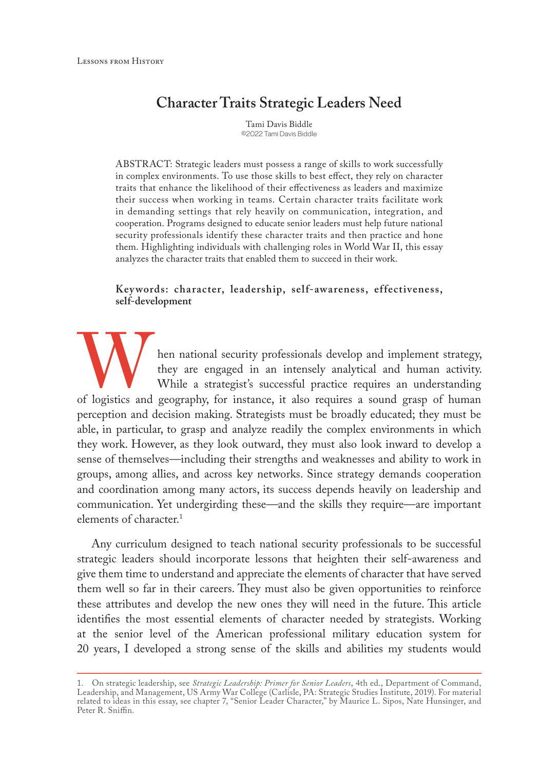## **Character Traits Strategic Leaders Need**

Tami Davis Biddle ©2022 Tami Davis Biddle

ABSTRACT: Strategic leaders must possess a range of skills to work successfully in complex environments. To use those skills to best effect, they rely on character traits that enhance the likelihood of their effectiveness as leaders and maximize their success when working in teams. Certain character traits facilitate work in demanding settings that rely heavily on communication, integration, and cooperation. Programs designed to educate senior leaders must help future national security professionals identify these character traits and then practice and hone them. Highlighting individuals with challenging roles in World War II, this essay analyzes the character traits that enabled them to succeed in their work.

**Key words: character, leadership, self-awareness, effectiveness, self-development**

Then national security professionals develop and implement strategy, they are engaged in an intensely analytical and human activity. While a strategist's successful practice requires an understanding of logistics and geogr they are engaged in an intensely analytical and human activity. While a strategist's successful practice requires an understanding of logistics and geography, for instance, it also requires a sound grasp of human perception and decision making. Strategists must be broadly educated; they must be able, in particular, to grasp and analyze readily the complex environments in which they work. However, as they look outward, they must also look inward to develop a sense of themselves—including their strengths and weaknesses and ability to work in groups, among allies, and across key networks. Since strategy demands cooperation and coordination among many actors, its success depends heavily on leadership and communication. Yet undergirding these—and the skills they require—are important elements of character.<sup>1</sup>

Any curriculum designed to teach national security professionals to be successful strategic leaders should incorporate lessons that heighten their self-awareness and give them time to understand and appreciate the elements of character that have served them well so far in their careers. They must also be given opportunities to reinforce these attributes and develop the new ones they will need in the future. This article identifies the most essential elements of character needed by strategists. Working at the senior level of the American professional military education system for 20 years, I developed a strong sense of the skills and abilities my students would

<sup>1.</sup> On strategic leadership, see *Strategic Leadership: Primer for Senior Leaders*, 4th ed., Department of Command, Leadership, and Management, US Army War College (Carlisle, PA: Strategic Studies Institute, 2019). For material related to ideas in this essay, see chapter 7, "Senior Leader Character," by Maurice L. Sipos, Nate Hunsinger, and Peter R. Sniffin.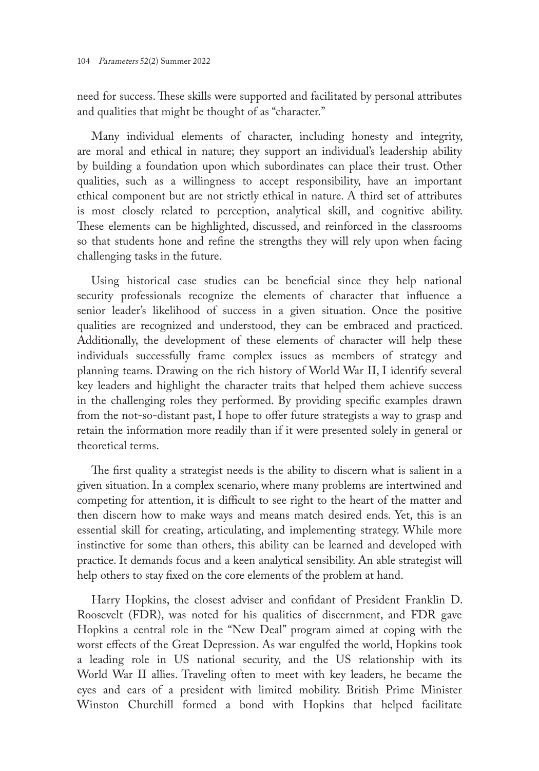need for success. These skills were supported and facilitated by personal attributes and qualities that might be thought of as "character."

Many individual elements of character, including honesty and integrity, are moral and ethical in nature; they support an individual's leadership ability by building a foundation upon which subordinates can place their trust. Other qualities, such as a willingness to accept responsibility, have an important ethical component but are not strictly ethical in nature. A third set of attributes is most closely related to perception, analytical skill, and cognitive ability. These elements can be highlighted, discussed, and reinforced in the classrooms so that students hone and refine the strengths they will rely upon when facing challenging tasks in the future.

Using historical case studies can be beneficial since they help national security professionals recognize the elements of character that influence a senior leader's likelihood of success in a given situation. Once the positive qualities are recognized and understood, they can be embraced and practiced. Additionally, the development of these elements of character will help these individuals successfully frame complex issues as members of strategy and planning teams. Drawing on the rich history of World War II, I identify several key leaders and highlight the character traits that helped them achieve success in the challenging roles they performed. By providing specific examples drawn from the not-so-distant past, I hope to offer future strategists a way to grasp and retain the information more readily than if it were presented solely in general or theoretical terms.

The first quality a strategist needs is the ability to discern what is salient in a given situation. In a complex scenario, where many problems are intertwined and competing for attention, it is difficult to see right to the heart of the matter and then discern how to make ways and means match desired ends. Yet, this is an essential skill for creating, articulating, and implementing strategy. While more instinctive for some than others, this ability can be learned and developed with practice. It demands focus and a keen analytical sensibility. An able strategist will help others to stay fixed on the core elements of the problem at hand.

Harry Hopkins, the closest adviser and confidant of President Franklin D. Roosevelt (FDR), was noted for his qualities of discernment, and FDR gave Hopkins a central role in the "New Deal" program aimed at coping with the worst effects of the Great Depression. As war engulfed the world, Hopkins took a leading role in US national security, and the US relationship with its World War II allies. Traveling often to meet with key leaders, he became the eyes and ears of a president with limited mobility. British Prime Minister Winston Churchill formed a bond with Hopkins that helped facilitate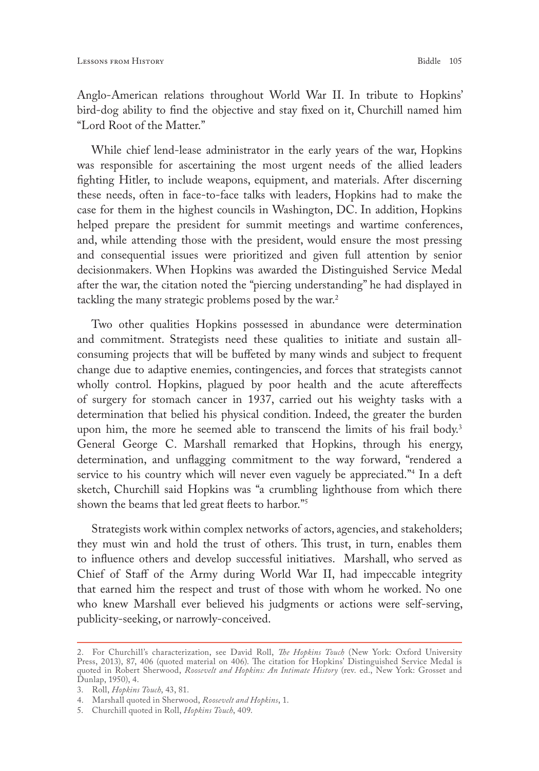Anglo-American relations throughout World War II. In tribute to Hopkins' bird-dog ability to find the objective and stay fixed on it, Churchill named him "Lord Root of the Matter."

While chief lend-lease administrator in the early years of the war, Hopkins was responsible for ascertaining the most urgent needs of the allied leaders fighting Hitler, to include weapons, equipment, and materials. After discerning these needs, often in face-to-face talks with leaders, Hopkins had to make the case for them in the highest councils in Washington, DC. In addition, Hopkins helped prepare the president for summit meetings and wartime conferences, and, while attending those with the president, would ensure the most pressing and consequential issues were prioritized and given full attention by senior decisionmakers. When Hopkins was awarded the Distinguished Service Medal after the war, the citation noted the "piercing understanding" he had displayed in tackling the many strategic problems posed by the war.<sup>2</sup>

Two other qualities Hopkins possessed in abundance were determination and commitment. Strategists need these qualities to initiate and sustain allconsuming projects that will be buffeted by many winds and subject to frequent change due to adaptive enemies, contingencies, and forces that strategists cannot wholly control. Hopkins, plagued by poor health and the acute aftereffects of surgery for stomach cancer in 1937, carried out his weighty tasks with a determination that belied his physical condition. Indeed, the greater the burden upon him, the more he seemed able to transcend the limits of his frail body.<sup>3</sup> General George C. Marshall remarked that Hopkins, through his energy, determination, and unflagging commitment to the way forward, "rendered a service to his country which will never even vaguely be appreciated."4 In a deft sketch, Churchill said Hopkins was "a crumbling lighthouse from which there shown the beams that led great fleets to harbor."5

Strategists work within complex networks of actors, agencies, and stakeholders; they must win and hold the trust of others. This trust, in turn, enables them to influence others and develop successful initiatives. Marshall, who served as Chief of Staff of the Army during World War II, had impeccable integrity that earned him the respect and trust of those with whom he worked. No one who knew Marshall ever believed his judgments or actions were self-serving, publicity-seeking, or narrowly-conceived.

<sup>2.</sup> For Churchill's characterization, see David Roll, *The Hopkins Touch* (New York: Oxford University Press, 2013), 87, 406 (quoted material on 406). The citation for Hopkins' Distinguished Service Medal is quoted in Robert Sherwood, *Roosevelt and Hopkins: An Intimate History* (rev. ed., New York: Grosset and Dunlap, 1950), 4.

<sup>3.</sup> Roll, *Hopkins Touch*, 43, 81.

<sup>4.</sup> Marshall quoted in Sherwood, *Roosevelt and Hopkins*, 1.

<sup>5.</sup> Churchill quoted in Roll, *Hopkins Touch*, 409.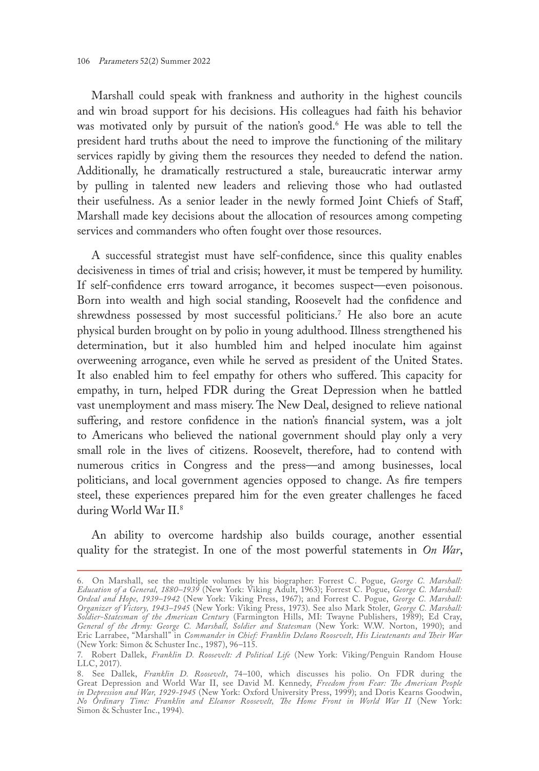Marshall could speak with frankness and authority in the highest councils and win broad support for his decisions. His colleagues had faith his behavior was motivated only by pursuit of the nation's good.6 He was able to tell the president hard truths about the need to improve the functioning of the military services rapidly by giving them the resources they needed to defend the nation. Additionally, he dramatically restructured a stale, bureaucratic interwar army by pulling in talented new leaders and relieving those who had outlasted their usefulness. As a senior leader in the newly formed Joint Chiefs of Staff, Marshall made key decisions about the allocation of resources among competing services and commanders who often fought over those resources.

A successful strategist must have self-confidence, since this quality enables decisiveness in times of trial and crisis; however, it must be tempered by humility. If self-confidence errs toward arrogance, it becomes suspect—even poisonous. Born into wealth and high social standing, Roosevelt had the confidence and shrewdness possessed by most successful politicians.7 He also bore an acute physical burden brought on by polio in young adulthood. Illness strengthened his determination, but it also humbled him and helped inoculate him against overweening arrogance, even while he served as president of the United States. It also enabled him to feel empathy for others who suffered. This capacity for empathy, in turn, helped FDR during the Great Depression when he battled vast unemployment and mass misery. The New Deal, designed to relieve national suffering, and restore confidence in the nation's financial system, was a jolt to Americans who believed the national government should play only a very small role in the lives of citizens. Roosevelt, therefore, had to contend with numerous critics in Congress and the press—and among businesses, local politicians, and local government agencies opposed to change. As fire tempers steel, these experiences prepared him for the even greater challenges he faced during World War II.8

An ability to overcome hardship also builds courage, another essential quality for the strategist. In one of the most powerful statements in *On War*,

<sup>6.</sup> On Marshall, see the multiple volumes by his biographer: Forrest C. Pogue, *George C. Marshall: Education of a General, 1880–1939* (New York: Viking Adult, 1963); Forrest C. Pogue, *George C. Marshall: Ordeal and Hope, 1939–1942* (New York: Viking Press, 1967); and Forrest C. Pogue, *George C. Marshall: Organizer of Victory, 1943–1945* (New York: Viking Press, 1973). See also Mark Stoler, *George C. Marshall: Soldier-Statesman of the American Century* (Farmington Hills, MI: Twayne Publishers, 1989); Ed Cray, *General of the Army: George C. Marshall, Soldier and Statesman* (New York: W.W. Norton, 1990); and Eric Larrabee, "Marshall" in *Commander in Chief: Franklin Delano Roosevelt, His Lieutenants and Their War* (New York: Simon & Schuster Inc., 1987), 96–115.

<sup>7.</sup> Robert Dallek, *Franklin D. Roosevelt: A Political Life* (New York: Viking/Penguin Random House LLC, 2017).

<sup>8.</sup> See Dallek, *Franklin D. Roosevelt*, 74–100, which discusses his polio. On FDR during the Great Depression and World War II, see David M. Kennedy, *Freedom from Fear: The American People in Depression and War, 1929-1945* (New York: Oxford University Press, 1999); and Doris Kearns Goodwin, *No Ordinary Time: Franklin and Eleanor Roosevelt, The Home Front in World War II* (New York: Simon & Schuster Inc., 1994).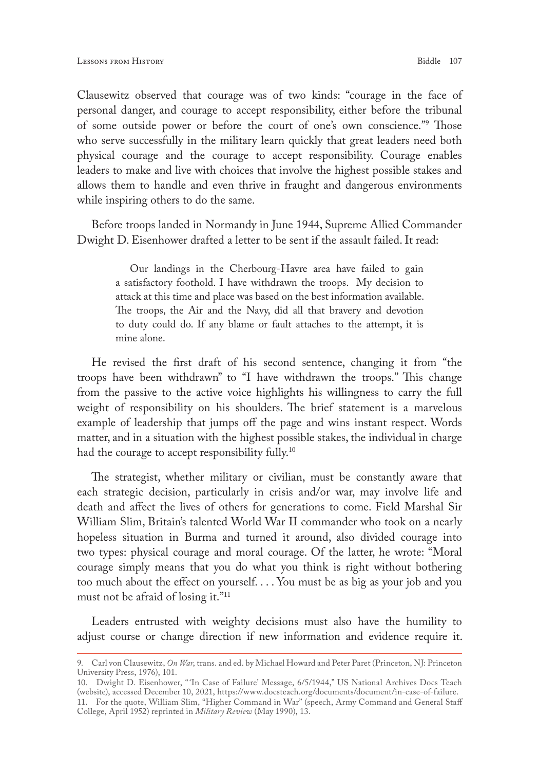Clausewitz observed that courage was of two kinds: "courage in the face of personal danger, and courage to accept responsibility, either before the tribunal of some outside power or before the court of one's own conscience."9 Those who serve successfully in the military learn quickly that great leaders need both physical courage and the courage to accept responsibility. Courage enables leaders to make and live with choices that involve the highest possible stakes and allows them to handle and even thrive in fraught and dangerous environments while inspiring others to do the same.

Before troops landed in Normandy in June 1944, Supreme Allied Commander Dwight D. Eisenhower drafted a letter to be sent if the assault failed. It read:

Our landings in the Cherbourg-Havre area have failed to gain a satisfactory foothold. I have withdrawn the troops. My decision to attack at this time and place was based on the best information available. The troops, the Air and the Navy, did all that bravery and devotion to duty could do. If any blame or fault attaches to the attempt, it is mine alone.

He revised the first draft of his second sentence, changing it from "the troops have been withdrawn" to "I have withdrawn the troops." This change from the passive to the active voice highlights his willingness to carry the full weight of responsibility on his shoulders. The brief statement is a marvelous example of leadership that jumps off the page and wins instant respect. Words matter, and in a situation with the highest possible stakes, the individual in charge had the courage to accept responsibility fully.<sup>10</sup>

The strategist, whether military or civilian, must be constantly aware that each strategic decision, particularly in crisis and/or war, may involve life and death and affect the lives of others for generations to come. Field Marshal Sir William Slim, Britain's talented World War II commander who took on a nearly hopeless situation in Burma and turned it around, also divided courage into two types: physical courage and moral courage. Of the latter, he wrote: "Moral courage simply means that you do what you think is right without bothering too much about the effect on yourself. . . . You must be as big as your job and you must not be afraid of losing it."<sup>11</sup>

Leaders entrusted with weighty decisions must also have the humility to adjust course or change direction if new information and evidence require it.

<sup>9.</sup> Carl von Clausewitz, *On War*, trans. and ed. by Michael Howard and Peter Paret (Princeton, NJ: Princeton University Press, 1976), 101.

<sup>10.</sup> Dwight D. Eisenhower, "'In Case of Failure' Message, 6/5/1944," US National Archives Docs Teach (website), accessed December 10, 2021, [https://www.docsteach.org/documents/document/in-case-of-failure.](https://www.docsteach.org/documents/document/in-case-of-failure) 11. For the quote, William Slim, "Higher Command in War" (speech, Army Command and General Staff College, April 1952) reprinted in *Military Review* (May 1990), 13.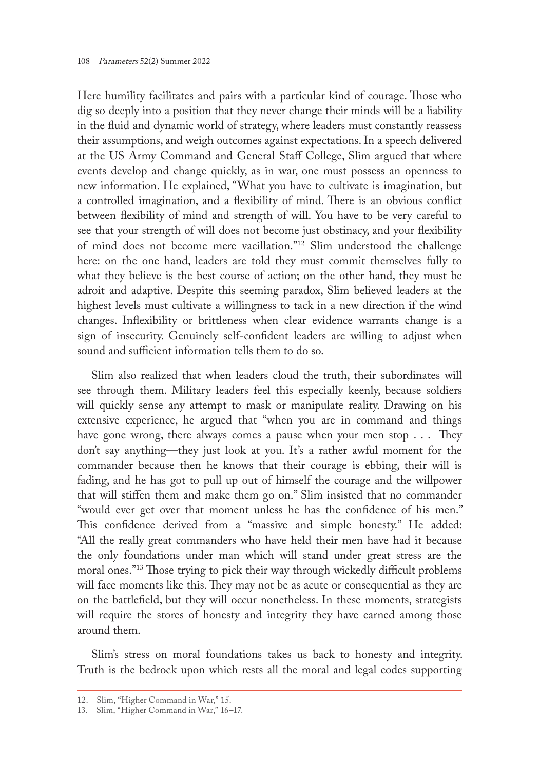Here humility facilitates and pairs with a particular kind of courage. Those who dig so deeply into a position that they never change their minds will be a liability in the fluid and dynamic world of strategy, where leaders must constantly reassess their assumptions, and weigh outcomes against expectations. In a speech delivered at the US Army Command and General Staff College, Slim argued that where events develop and change quickly, as in war, one must possess an openness to new information. He explained, "What you have to cultivate is imagination, but a controlled imagination, and a flexibility of mind. There is an obvious conflict between flexibility of mind and strength of will. You have to be very careful to see that your strength of will does not become just obstinacy, and your flexibility of mind does not become mere vacillation."12 Slim understood the challenge here: on the one hand, leaders are told they must commit themselves fully to what they believe is the best course of action; on the other hand, they must be adroit and adaptive. Despite this seeming paradox, Slim believed leaders at the highest levels must cultivate a willingness to tack in a new direction if the wind changes. Inflexibility or brittleness when clear evidence warrants change is a sign of insecurity. Genuinely self-confident leaders are willing to adjust when sound and sufficient information tells them to do so.

Slim also realized that when leaders cloud the truth, their subordinates will see through them. Military leaders feel this especially keenly, because soldiers will quickly sense any attempt to mask or manipulate reality. Drawing on his extensive experience, he argued that "when you are in command and things have gone wrong, there always comes a pause when your men stop . . . They don't say anything—they just look at you. It's a rather awful moment for the commander because then he knows that their courage is ebbing, their will is fading, and he has got to pull up out of himself the courage and the willpower that will stiffen them and make them go on." Slim insisted that no commander "would ever get over that moment unless he has the confidence of his men." This confidence derived from a "massive and simple honesty." He added: "All the really great commanders who have held their men have had it because the only foundations under man which will stand under great stress are the moral ones."13 Those trying to pick their way through wickedly difficult problems will face moments like this. They may not be as acute or consequential as they are on the battlefield, but they will occur nonetheless. In these moments, strategists will require the stores of honesty and integrity they have earned among those around them.

Slim's stress on moral foundations takes us back to honesty and integrity. Truth is the bedrock upon which rests all the moral and legal codes supporting

<sup>12.</sup> Slim, "Higher Command in War," 15.

<sup>13.</sup> Slim, "Higher Command in War," 16–17.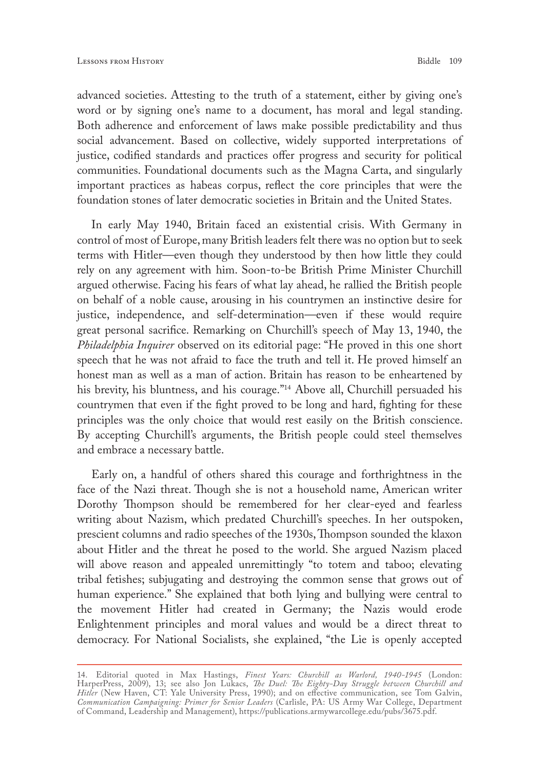advanced societies. Attesting to the truth of a statement, either by giving one's word or by signing one's name to a document, has moral and legal standing. Both adherence and enforcement of laws make possible predictability and thus social advancement. Based on collective, widely supported interpretations of justice, codified standards and practices offer progress and security for political communities. Foundational documents such as the Magna Carta, and singularly important practices as habeas corpus, reflect the core principles that were the foundation stones of later democratic societies in Britain and the United States.

In early May 1940, Britain faced an existential crisis. With Germany in control of most of Europe, many British leaders felt there was no option but to seek terms with Hitler—even though they understood by then how little they could rely on any agreement with him. Soon-to-be British Prime Minister Churchill argued otherwise. Facing his fears of what lay ahead, he rallied the British people on behalf of a noble cause, arousing in his countrymen an instinctive desire for justice, independence, and self-determination—even if these would require great personal sacrifice. Remarking on Churchill's speech of May 13, 1940, the *Philadelphia Inquirer* observed on its editorial page: "He proved in this one short speech that he was not afraid to face the truth and tell it. He proved himself an honest man as well as a man of action. Britain has reason to be enheartened by his brevity, his bluntness, and his courage."14 Above all, Churchill persuaded his countrymen that even if the fight proved to be long and hard, fighting for these principles was the only choice that would rest easily on the British conscience. By accepting Churchill's arguments, the British people could steel themselves and embrace a necessary battle.

Early on, a handful of others shared this courage and forthrightness in the face of the Nazi threat. Though she is not a household name, American writer Dorothy Thompson should be remembered for her clear-eyed and fearless writing about Nazism, which predated Churchill's speeches. In her outspoken, prescient columns and radio speeches of the 1930s, Thompson sounded the klaxon about Hitler and the threat he posed to the world. She argued Nazism placed will above reason and appealed unremittingly "to totem and taboo; elevating tribal fetishes; subjugating and destroying the common sense that grows out of human experience." She explained that both lying and bullying were central to the movement Hitler had created in Germany; the Nazis would erode Enlightenment principles and moral values and would be a direct threat to democracy. For National Socialists, she explained, "the Lie is openly accepted

<sup>14.</sup> Editorial quoted in Max Hastings, *Finest Years: Churchill as Warlord, 1940-1945* (London: HarperPress, 2009), 13; see also Jon Lukacs, *The Duel: The Eighty-Day Struggle between Churchill and Hitler* (New Haven, CT: Yale University Press, 1990); and on effective communication, see Tom Galvin, *Communication Campaigning: Primer for Senior Leaders* (Carlisle, PA: US Army War College, Department of Command, Leadership and Management), [https://publications.armywarcollege.edu/pubs/3675.pdf.](https://publications.armywarcollege.edu/pubs/3675.pdf)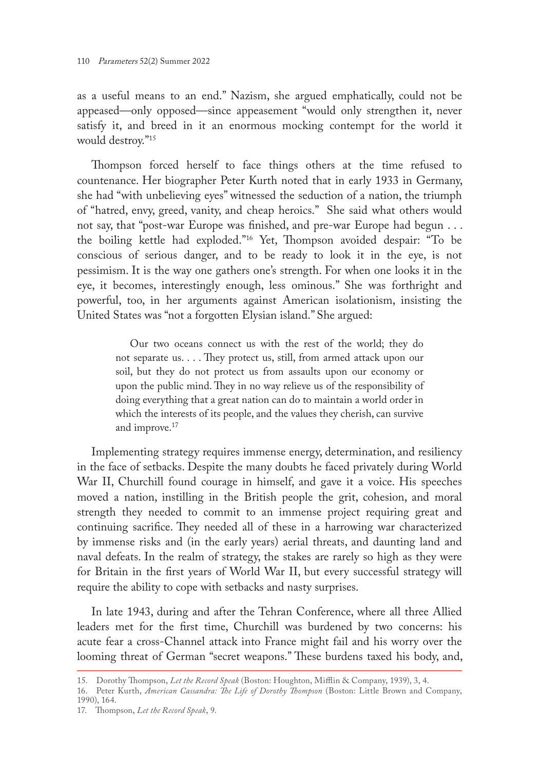as a useful means to an end." Nazism, she argued emphatically, could not be appeased—only opposed—since appeasement "would only strengthen it, never satisfy it, and breed in it an enormous mocking contempt for the world it would destroy."15

Thompson forced herself to face things others at the time refused to countenance. Her biographer Peter Kurth noted that in early 1933 in Germany, she had "with unbelieving eyes" witnessed the seduction of a nation, the triumph of "hatred, envy, greed, vanity, and cheap heroics." She said what others would not say, that "post-war Europe was finished, and pre-war Europe had begun . . . the boiling kettle had exploded."16 Yet, Thompson avoided despair: "To be conscious of serious danger, and to be ready to look it in the eye, is not pessimism. It is the way one gathers one's strength. For when one looks it in the eye, it becomes, interestingly enough, less ominous." She was forthright and powerful, too, in her arguments against American isolationism, insisting the United States was "not a forgotten Elysian island." She argued:

Our two oceans connect us with the rest of the world; they do not separate us. . . . They protect us, still, from armed attack upon our soil, but they do not protect us from assaults upon our economy or upon the public mind. They in no way relieve us of the responsibility of doing everything that a great nation can do to maintain a world order in which the interests of its people, and the values they cherish, can survive and improve.<sup>17</sup>

Implementing strategy requires immense energy, determination, and resiliency in the face of setbacks. Despite the many doubts he faced privately during World War II, Churchill found courage in himself, and gave it a voice. His speeches moved a nation, instilling in the British people the grit, cohesion, and moral strength they needed to commit to an immense project requiring great and continuing sacrifice. They needed all of these in a harrowing war characterized by immense risks and (in the early years) aerial threats, and daunting land and naval defeats. In the realm of strategy, the stakes are rarely so high as they were for Britain in the first years of World War II, but every successful strategy will require the ability to cope with setbacks and nasty surprises.

In late 1943, during and after the Tehran Conference, where all three Allied leaders met for the first time, Churchill was burdened by two concerns: his acute fear a cross-Channel attack into France might fail and his worry over the looming threat of German "secret weapons." These burdens taxed his body, and,

<sup>15.</sup> Dorothy Thompson, *Let the Record Speak* (Boston: Houghton, Mifflin & Company, 1939), 3, 4.

<sup>16.</sup> Peter Kurth, *American Cassandra: The Life of Dorothy Thompson* (Boston: Little Brown and Company, 1990), 164.

<sup>17.</sup> Thompson, *Let the Record Speak*, 9.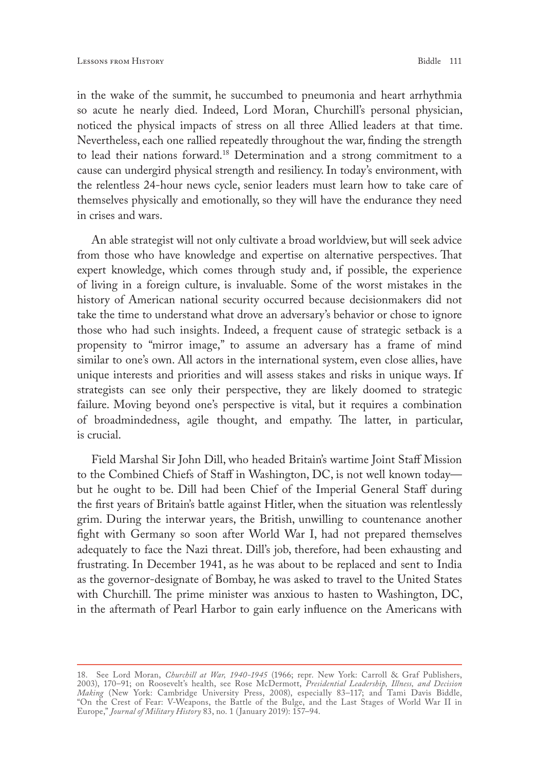in the wake of the summit, he succumbed to pneumonia and heart arrhythmia so acute he nearly died. Indeed, Lord Moran, Churchill's personal physician, noticed the physical impacts of stress on all three Allied leaders at that time. Nevertheless, each one rallied repeatedly throughout the war, finding the strength to lead their nations forward.18 Determination and a strong commitment to a cause can undergird physical strength and resiliency. In today's environment, with the relentless 24-hour news cycle, senior leaders must learn how to take care of themselves physically and emotionally, so they will have the endurance they need in crises and wars.

An able strategist will not only cultivate a broad worldview, but will seek advice from those who have knowledge and expertise on alternative perspectives. That expert knowledge, which comes through study and, if possible, the experience of living in a foreign culture, is invaluable. Some of the worst mistakes in the history of American national security occurred because decisionmakers did not take the time to understand what drove an adversary's behavior or chose to ignore those who had such insights. Indeed, a frequent cause of strategic setback is a propensity to "mirror image," to assume an adversary has a frame of mind similar to one's own. All actors in the international system, even close allies, have unique interests and priorities and will assess stakes and risks in unique ways. If strategists can see only their perspective, they are likely doomed to strategic failure. Moving beyond one's perspective is vital, but it requires a combination of broadmindedness, agile thought, and empathy. The latter, in particular, is crucial.

Field Marshal Sir John Dill, who headed Britain's wartime Joint Staff Mission to the Combined Chiefs of Staff in Washington, DC, is not well known today but he ought to be. Dill had been Chief of the Imperial General Staff during the first years of Britain's battle against Hitler, when the situation was relentlessly grim. During the interwar years, the British, unwilling to countenance another fight with Germany so soon after World War I, had not prepared themselves adequately to face the Nazi threat. Dill's job, therefore, had been exhausting and frustrating. In December 1941, as he was about to be replaced and sent to India as the governor-designate of Bombay, he was asked to travel to the United States with Churchill. The prime minister was anxious to hasten to Washington, DC, in the aftermath of Pearl Harbor to gain early influence on the Americans with

<sup>18.</sup> See Lord Moran, *Churchill at War, 1940-1945* (1966; repr. New York: Carroll & Graf Publishers, 2003), 170–91; on Roosevelt's health, see Rose McDermott, *Presidential Leadership, Illness, and Decision Making* (New York: Cambridge University Press, 2008), especially 83–117; and Tami Davis Biddle, "On the Crest of Fear: V-Weapons, the Battle of the Bulge, and the Last Stages of World War II in Europe," *Journal of Military History* 83, no. 1 (January 2019): 157–94.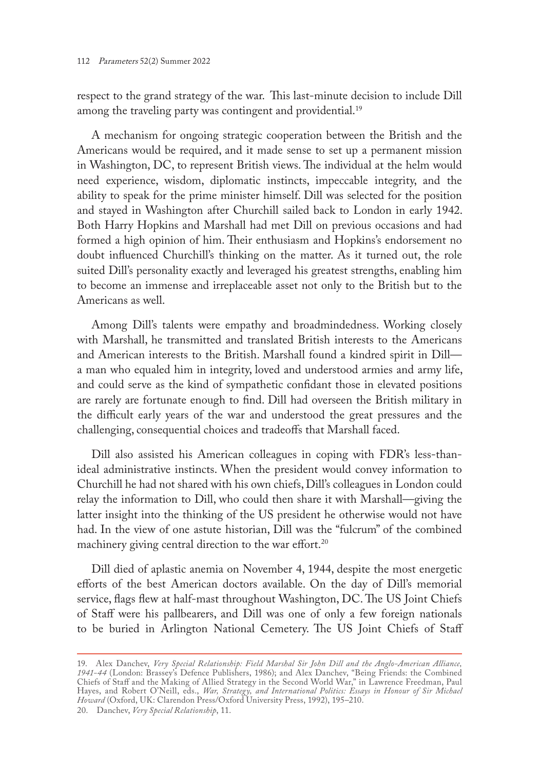respect to the grand strategy of the war. This last-minute decision to include Dill among the traveling party was contingent and providential.<sup>19</sup>

A mechanism for ongoing strategic cooperation between the British and the Americans would be required, and it made sense to set up a permanent mission in Washington, DC, to represent British views. The individual at the helm would need experience, wisdom, diplomatic instincts, impeccable integrity, and the ability to speak for the prime minister himself. Dill was selected for the position and stayed in Washington after Churchill sailed back to London in early 1942. Both Harry Hopkins and Marshall had met Dill on previous occasions and had formed a high opinion of him. Their enthusiasm and Hopkins's endorsement no doubt influenced Churchill's thinking on the matter. As it turned out, the role suited Dill's personality exactly and leveraged his greatest strengths, enabling him to become an immense and irreplaceable asset not only to the British but to the Americans as well.

Among Dill's talents were empathy and broadmindedness. Working closely with Marshall, he transmitted and translated British interests to the Americans and American interests to the British. Marshall found a kindred spirit in Dill a man who equaled him in integrity, loved and understood armies and army life, and could serve as the kind of sympathetic confidant those in elevated positions are rarely are fortunate enough to find. Dill had overseen the British military in the difficult early years of the war and understood the great pressures and the challenging, consequential choices and tradeoffs that Marshall faced.

Dill also assisted his American colleagues in coping with FDR's less-thanideal administrative instincts. When the president would convey information to Churchill he had not shared with his own chiefs, Dill's colleagues in London could relay the information to Dill, who could then share it with Marshall—giving the latter insight into the thinking of the US president he otherwise would not have had. In the view of one astute historian, Dill was the "fulcrum" of the combined machinery giving central direction to the war effort.<sup>20</sup>

Dill died of aplastic anemia on November 4, 1944, despite the most energetic efforts of the best American doctors available. On the day of Dill's memorial service, flags flew at half-mast throughout Washington, DC. The US Joint Chiefs of Staff were his pallbearers, and Dill was one of only a few foreign nationals to be buried in Arlington National Cemetery. The US Joint Chiefs of Staff

<sup>19.</sup> Alex Danchev, *Very Special Relationship: Field Marshal Sir John Dill and the Anglo-American Alliance, 1941-44* (London: Brassey's Defence Publishers, 1986); and Alex Danchev, "Being Friends: the Combined Chiefs of Staff and the Making of Allied Strategy in the Second World War," in Lawrence Freedman, Paul Hayes, and Robert O'Neill, eds., *War, Strategy, and International Politics: Essays in Honour of Sir Michael Howard* (Oxford, UK: Clarendon Press/Oxford University Press, 1992), 195–210. 20. Danchev, *Very Special Relationship*, 11.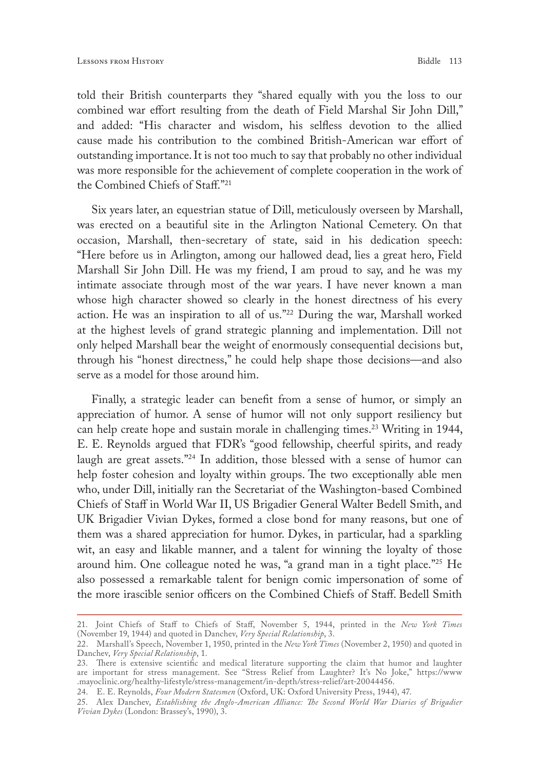told their British counterparts they "shared equally with you the loss to our combined war effort resulting from the death of Field Marshal Sir John Dill," and added: "His character and wisdom, his selfless devotion to the allied cause made his contribution to the combined British-American war effort of outstanding importance. It is not too much to say that probably no other individual was more responsible for the achievement of complete cooperation in the work of the Combined Chiefs of Staff."21

Six years later, an equestrian statue of Dill, meticulously overseen by Marshall, was erected on a beautiful site in the Arlington National Cemetery. On that occasion, Marshall, then-secretary of state, said in his dedication speech: "Here before us in Arlington, among our hallowed dead, lies a great hero, Field Marshall Sir John Dill. He was my friend, I am proud to say, and he was my intimate associate through most of the war years. I have never known a man whose high character showed so clearly in the honest directness of his every action. He was an inspiration to all of us."22 During the war, Marshall worked at the highest levels of grand strategic planning and implementation. Dill not only helped Marshall bear the weight of enormously consequential decisions but, through his "honest directness," he could help shape those decisions—and also serve as a model for those around him.

Finally, a strategic leader can benefit from a sense of humor, or simply an appreciation of humor. A sense of humor will not only support resiliency but can help create hope and sustain morale in challenging times.<sup>23</sup> Writing in 1944, E. E. Reynolds argued that FDR's "good fellowship, cheerful spirits, and ready laugh are great assets."24 In addition, those blessed with a sense of humor can help foster cohesion and loyalty within groups. The two exceptionally able men who, under Dill, initially ran the Secretariat of the Washington-based Combined Chiefs of Staff in World War II, US Brigadier General Walter Bedell Smith, and UK Brigadier Vivian Dykes, formed a close bond for many reasons, but one of them was a shared appreciation for humor. Dykes, in particular, had a sparkling wit, an easy and likable manner, and a talent for winning the loyalty of those around him. One colleague noted he was, "a grand man in a tight place."<sup>25</sup> He also possessed a remarkable talent for benign comic impersonation of some of the more irascible senior officers on the Combined Chiefs of Staff. Bedell Smith

<sup>21.</sup> Joint Chiefs of Staff to Chiefs of Staff, November 5, 1944, printed in the *New York Times* (November 19, 1944) and quoted in Danchev, *Very Special Relationship*, 3.

<sup>22.</sup> Marshall's Speech, November 1, 1950, printed in the *New York Times* (November 2, 1950) and quoted in Danchev, *Very Special Relationship*, 1.

<sup>23.</sup> There is extensive scientific and medical literature supporting the claim that humor and laughter are important for stress management. See "Stress Relief from Laughter? It's No Joke," [https://www](https://www.mayoclinic.org/healthy-lifestyle/stress-management/in-depth/stress-relief/art-20044456) [.mayoclinic.org/healthy-lifestyle/stress-management/in-depth/stress-relief/art-20044456](https://www.mayoclinic.org/healthy-lifestyle/stress-management/in-depth/stress-relief/art-20044456).

<sup>24.</sup> E. E. Reynolds, *Four Modern Statesmen* (Oxford, UK: Oxford University Press, 1944), 47.

<sup>25.</sup> Alex Danchev, *Establishing the Anglo-American Alliance: The Second World War Diaries of Brigadier Vivian Dykes* (London: Brassey's, 1990), 3.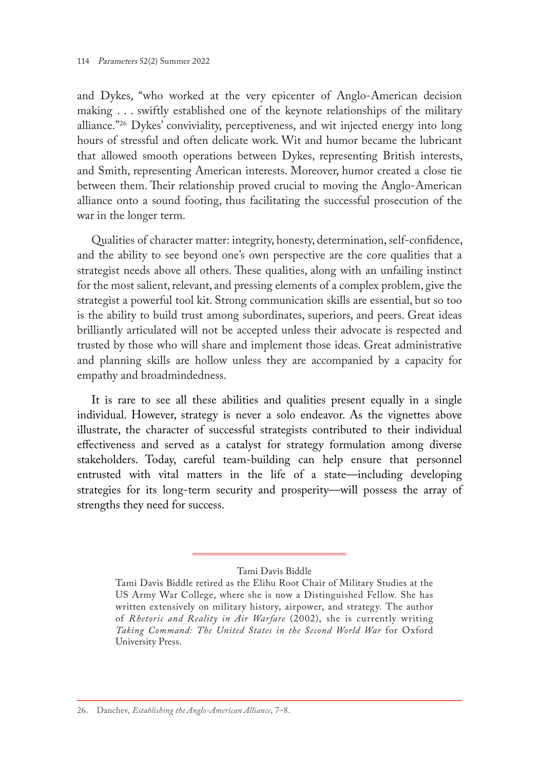and Dykes, "who worked at the very epicenter of Anglo-American decision making . . . swiftly established one of the keynote relationships of the military alliance."26 Dykes' conviviality, perceptiveness, and wit injected energy into long hours of stressful and often delicate work. Wit and humor became the lubricant that allowed smooth operations between Dykes, representing British interests, and Smith, representing American interests. Moreover, humor created a close tie between them. Their relationship proved crucial to moving the Anglo-American alliance onto a sound footing, thus facilitating the successful prosecution of the war in the longer term.

Qualities of character matter: integrity, honesty, determination, self-confidence, and the ability to see beyond one's own perspective are the core qualities that a strategist needs above all others. These qualities, along with an unfailing instinct for the most salient, relevant, and pressing elements of a complex problem, give the strategist a powerful tool kit. Strong communication skills are essential, but so too is the ability to build trust among subordinates, superiors, and peers. Great ideas brilliantly articulated will not be accepted unless their advocate is respected and trusted by those who will share and implement those ideas. Great administrative and planning skills are hollow unless they are accompanied by a capacity for empathy and broadmindedness.

It is rare to see all these abilities and qualities present equally in a single individual. However, strategy is never a solo endeavor. As the vignettes above illustrate, the character of successful strategists contributed to their individual effectiveness and served as a catalyst for strategy formulation among diverse stakeholders. Today, careful team-building can help ensure that personnel entrusted with vital matters in the life of a state—including developing strategies for its long-term security and prosperity—will possess the array of strengths they need for success.

Tami Davis Biddle

Tami Davis Biddle retired as the Elihu Root Chair of Military Studies at the US Army War College, where she is now a Distinguished Fellow. She has written extensively on military history, airpower, and strategy. The author of *Rhetoric and Reality in Air Warfare* (2002), she is currently writing *Taking Command: The United States in the Second World War* for Oxford University Press.